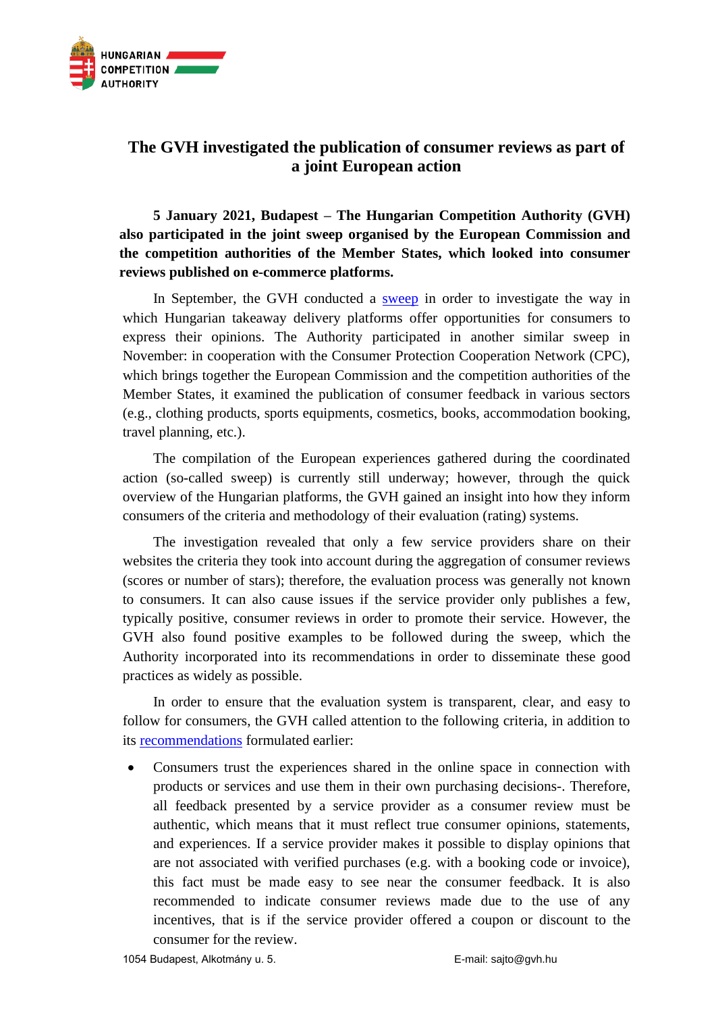

## **The GVH investigated the publication of consumer reviews as part of a joint European action**

**5 January 2021, Budapest – The Hungarian Competition Authority (GVH) also participated in the joint sweep organised by the European Commission and the competition authorities of the Member States, which looked into consumer reviews published on e-commerce platforms.**

In September, the GVH conducted a [sweep](https://www.gvh.hu/sajtoszoba/sajtokozlemenyek/2021-es-sajtokozlemenyek/atlathato-ertekelesi-rendszert-szorgalmaz-a-gvh-elnoke-az-etelkiszallitasban-) in order to investigate the way in which Hungarian takeaway delivery platforms offer opportunities for consumers to express their opinions. The Authority participated in another similar sweep in November: in cooperation with the Consumer Protection Cooperation Network (CPC), which brings together the European Commission and the competition authorities of the Member States, it examined the publication of consumer feedback in various sectors (e.g., clothing products, sports equipments, cosmetics, books, accommodation booking, travel planning, etc.).

The compilation of the European experiences gathered during the coordinated action (so-called sweep) is currently still underway; however, through the quick overview of the Hungarian platforms, the GVH gained an insight into how they inform consumers of the criteria and methodology of their evaluation (rating) systems.

The investigation revealed that only a few service providers share on their websites the criteria they took into account during the aggregation of consumer reviews (scores or number of stars); therefore, the evaluation process was generally not known to consumers. It can also cause issues if the service provider only publishes a few, typically positive, consumer reviews in order to promote their service. However, the GVH also found positive examples to be followed during the sweep, which the Authority incorporated into its recommendations in order to disseminate these good practices as widely as possible.

In order to ensure that the evaluation system is transparent, clear, and easy to follow for consumers, the GVH called attention to the following criteria, in addition to its [recommendations](https://www.gvh.hu/pfile/file?path=/vallalkozasoknak/Egyertelmuen_megismerhetoen_atlathatoan_javaslatok_a_hazai_etelkiszallito_platformoknak.pdf1&inline=true) formulated earlier:

• Consumers trust the experiences shared in the online space in connection with products or services and use them in their own purchasing decisions-. Therefore, all feedback presented by a service provider as a consumer review must be authentic, which means that it must reflect true consumer opinions, statements, and experiences. If a service provider makes it possible to display opinions that are not associated with verified purchases (e.g. with a booking code or invoice), this fact must be made easy to see near the consumer feedback. It is also recommended to indicate consumer reviews made due to the use of any incentives, that is if the service provider offered a coupon or discount to the consumer for the review.